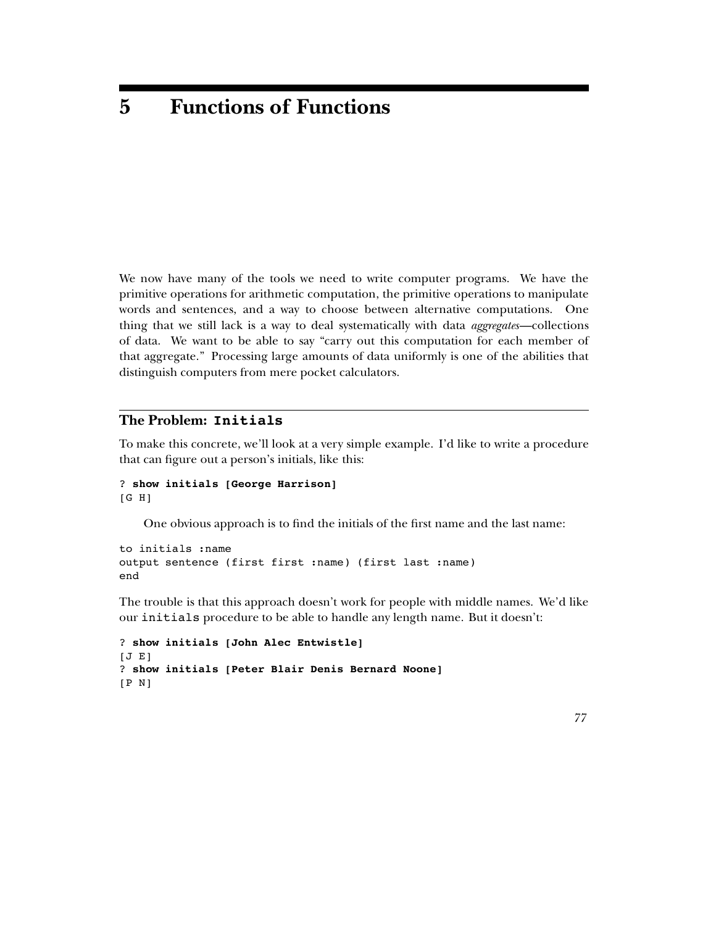# **5 Functions of Functions**

thing that we still lack is a way to deal systematically with data *aggregates*—collections We now have many of the tools we need to write computer programs. We have the primitive operations for arithmetic computation, the primitive operations to manipulate words and sentences, and a way to choose between alternative computations. One of data. We want to be able to say "carry out this computation for each member of that aggregate." Processing large amounts of data uniformly is one of the abilities that distinguish computers from mere pocket calculators.

# **Initials The Problem:**

To make this concrete, we'll look at a very simple example. I'd like to write a procedure that can figure out a person's initials, like this:

```
?
show initials [George Harrison]
[G H]
```
One obvious approach is to find the initials of the first name and the last name:

```
to initials :name
output sentence (first first :name) (first last :name)
end
```
our initials procedure to be able to handle any length name. But it doesn't: The trouble is that this approach doesn't work for people with middle names. We'd like

```
?
show initials [John Alec Entwistle]
[J E]?
show initials [Peter Blair Denis Bernard Noone]
[P N]
```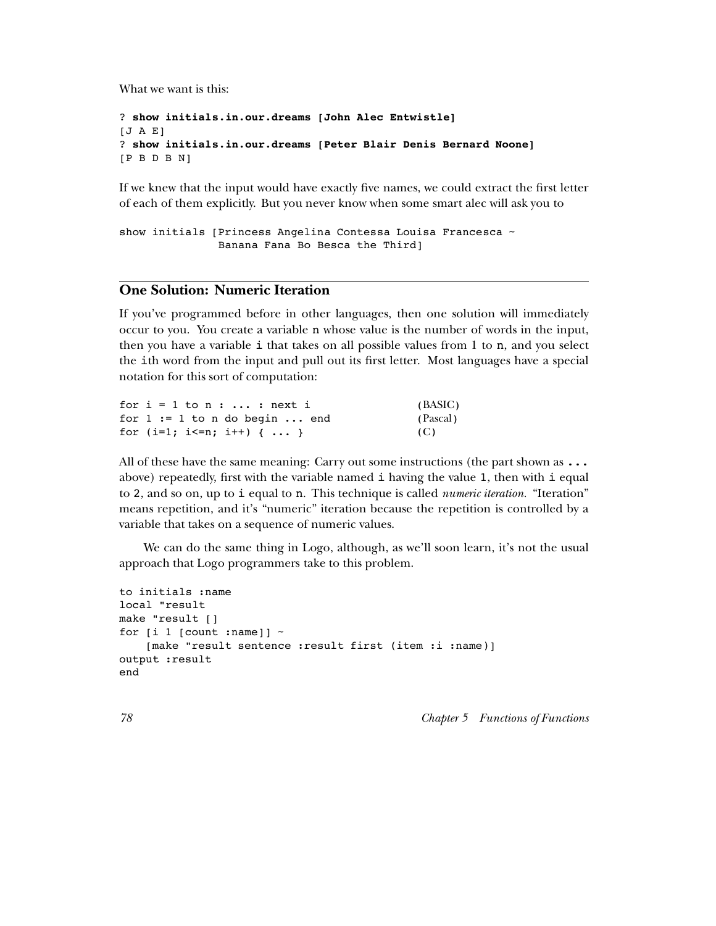What we want is this:

```
show initials.in.our.dreams [John Alec Entwistle]
?
show initials.in.our.dreams [Peter Blair Denis Bernard Noone]
?
[J A E][P B D B N]
```
If we knew that the input would have exactly five names, we could extract the first letter of each of them explicitly. But you never know when some smart alec will ask you to

show initials [Princess Angelina Contessa Louisa Francesca ~ Banana Fana Bo Besca the Third]

# **One Solution: Numeric Iteration**

occur to you. You create a variable n whose value is the number of words in the input, then you have a variable  $\pm$  that takes on all possible values from 1 to n, and you select the ith word from the input and pull out its first letter. Most languages have a special If you've programmed before in other languages, then one solution will immediately notation for this sort of computation:

| for $i = 1$ to $n :  : next$ i  | (BASIC)  |
|---------------------------------|----------|
| for $1 := 1$ to n do begin  end | (Pascal) |
| for (i=1; i<=n; i++) {  }       | (C)      |

All of these have the same meaning: Carry out some instructions (the part shown as  $\ldots$ above) repeatedly, first with the variable named  $\pm$  having the value 1, then with  $\pm$  equal to 2, and so on, up to *i* equal to n. This technique is called *numeric iteration*. "Iteration" means repetition, and it's "numeric" iteration because the repetition is controlled by a variable that takes on a sequence of numeric values.

We can do the same thing in Logo, although, as we'll soon learn, it's not the usual approach that Logo programmers take to this problem.

```
to initials :name
local "result
make "result []
for [i] [count : name]] ~
    [make "result sentence :result first (item :i :name)]
output :result
end
```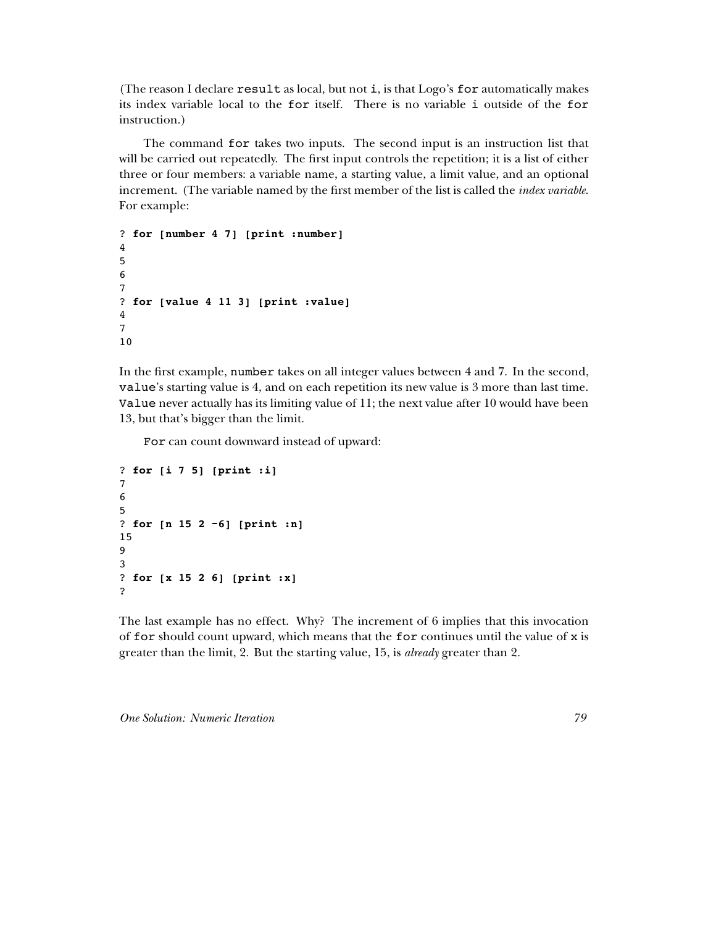(The reason I declare result as local, but not i, is that Logo's for automatically makes its index variable local to the for itself. There is no variable i outside of the for instruction.)

The command for takes two inputs. The second input is an instruction list that *index variable.* increment. (The variable named by the first member of the list is called the will be carried out repeatedly. The first input controls the repetition; it is a list of either three or four members: a variable name, a starting value, a limit value, and an optional For example:

```
?
for [number 4 7] [print :number]
4
5
6
7
?
for [value 4 11 3] [print :value]
4
7
10
```
In the first example,  $\mathop{\mathsf{number}}$  takes on all integer values between 4 and 7. In the second, value 's starting value is 4, and on each repetition its new value is 3 more than last time. Value never actually has its limiting value of 11; the next value after 10 would have been 13, but that's bigger than the limit.

For can count downward instead of upward:

```
?
for [i 7 5] [print :i]
7
6
5
?
for [n 15 2 -6] [print :n]
15
9
3
?
for [x 15 2 6] [print :x]
?
```
of for should count upward, which means that the for continues until the value of  $x$  is greater than the limit, 2. But the starting value, 15, is *already* greater than 2. The last example has no effect. Why? The increment of 6 implies that this invocation

*One Solution: Numeric Iteration 79*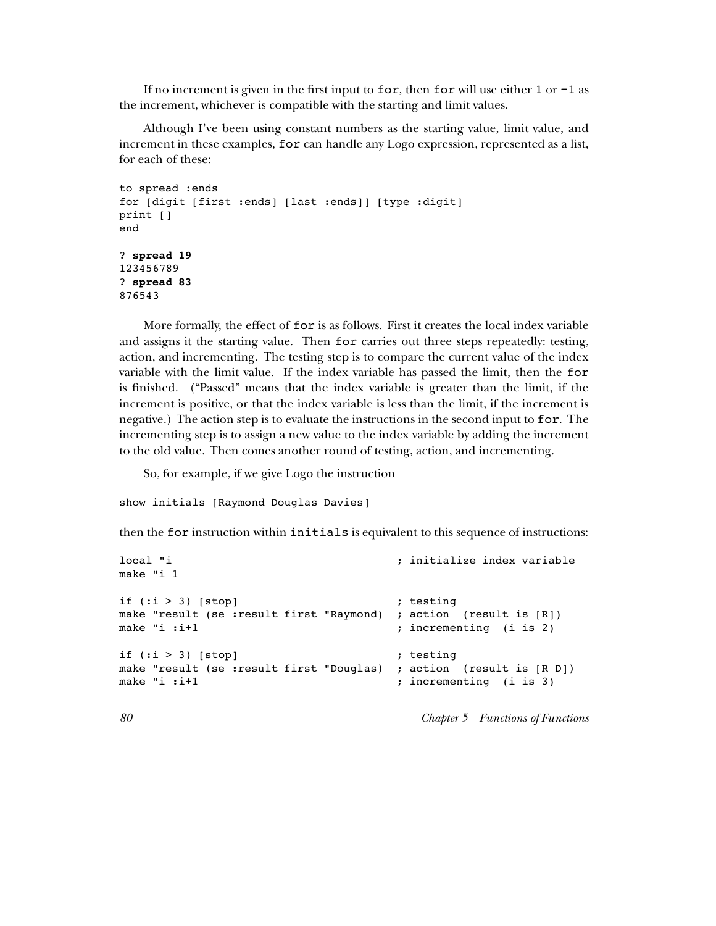If no increment is given in the first input to  $for$ , then for will use either 1 or  $-1$  as the increment, whichever is compatible with the starting and limit values.

increment in these examples, for can handle any Logo expression, represented as a list, Although I've been using constant numbers as the starting value, limit value, and for each of these:

```
spread 19
?
spread 83
?
to spread :ends
for [digit [first :ends] [last :ends]] [type :digit]
print []
end
123456789
876543
```
More formally, the effect of  $\verb|for|$  is as follows. First it creates the local index variable and assigns it the starting value. Then for carries out three steps repeatedly: testing, variable with the limit value. If the index variable has passed the limit, then the for negative.) The action step is to evaluate the instructions in the second input to for. The action, and incrementing. The testing step is to compare the current value of the index is finished. ("Passed" means that the index variable is greater than the limit, if the increment is positive, or that the index variable is less than the limit, if the increment is incrementing step is to assign a new value to the index variable by adding the increment to the old value. Then comes another round of testing, action, and incrementing.

So, for example, if we give Logo the instruction

show initials [Raymond Douglas Davies]

then the for instruction within initials is equivalent to this sequence of instructions:

```
local "i \qquad \qquad ; initialize index variable
make "i 1
if (i > 3) [stop] ; testing
make "result (se :result first "Raymond) ; action (result is [R])
make "i :i+1 \qquad \qquad ; incrementing (i is 2)
if (::i > 3) [stop] ; testing
make "result (se :result first "Douglas) ; action (result is [R D])
make "i :i+1 \qquad \qquad ; incrementing (i is 3)
```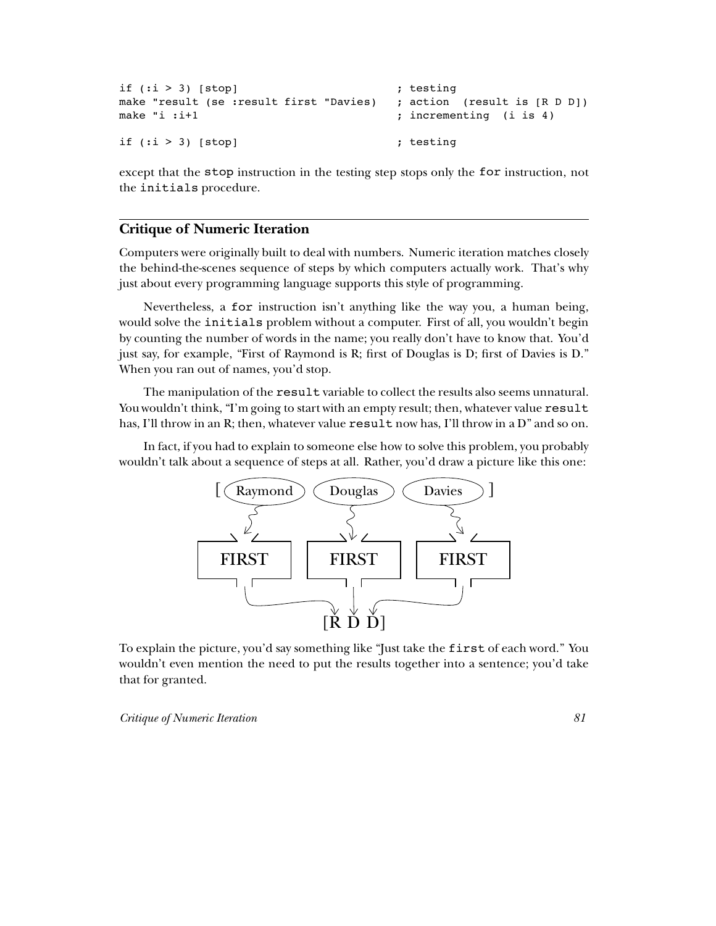```
if (:i > 3) [stop] ; testing
make "result (se :result first "Davies) ; action (result is [R D D])<br>make "i :i+1 <br>; incrementing (i is 4)
                                        ; incrementing (i is 4)if (i > 3) [stop] ; testing
```
except that the stop instruction in the testing step stops only the for instruction, not the initials procedure.

### **Critique of Numeric Iteration**

Computers were originally built to deal with numbers. Numeric iteration matches closely the behind-the-scenes sequence of steps by which computers actually work. That's why just about every programming language supports this style of programming.

Nevertheless, a for instruction isn't anything like the way you, a human being, would solve the <code>initials</code> problem without a computer. First of all, you wouldn't begin by counting the number of words in the name; you really don't have to know that. You'd just say, for example, "First of Raymond is R; first of Douglas is D; first of Davies is D." When you ran out of names, you'd stop.

The manipulation of the result variable to collect the results also seems unnatural. You wouldn't think, "I'm going to start with an empty result; then, whatever value  $\tt result$ has, I'll throw in an R; then, whatever value  ${\tt result}$  now has, I'll throw in a D" and so on.

In fact, if you had to explain to someone else how to solve this problem, you probably wouldn't talk about a sequence of steps at all. Rather, you'd draw a picture like this one:



To explain the picture, you'd say something like "Just take the <code>first</code> of each word." You wouldn't even mention the need to put the results together into a sentence; you'd take that for granted.

*Critique of Numeric Iteration 81*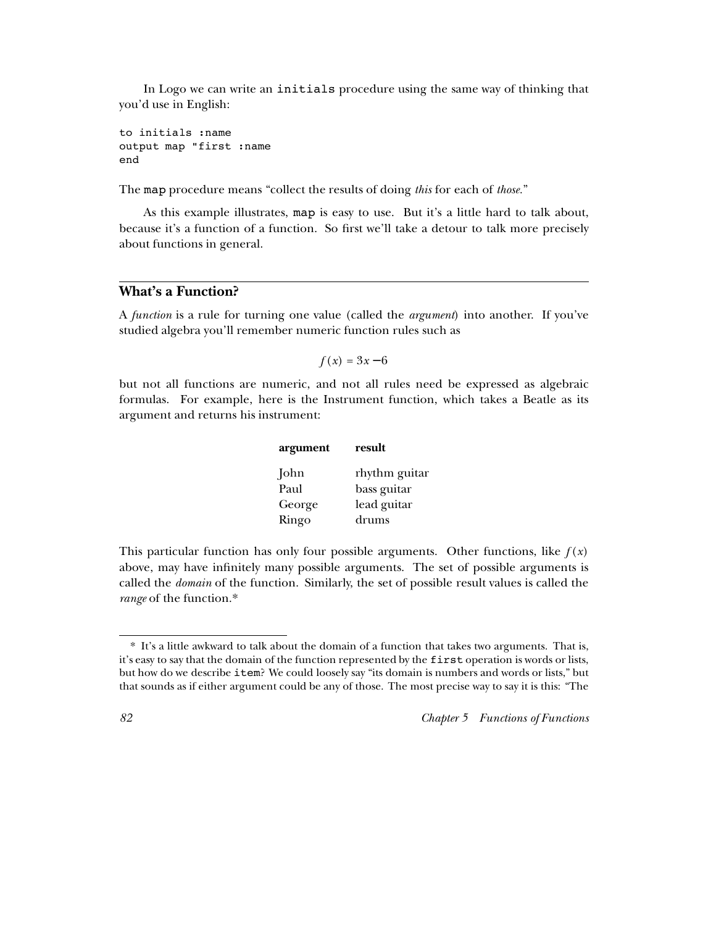In Logo we can write an initials procedure using the same way of thinking that you'd use in English:

```
to initials :name
output map "first :name
end
```
The map procedure means "collect the results of doing this for each of those."

As this example illustrates, map is easy to use. But it's a little hard to talk about, because it's a function of a function. So first we'll take a detour to talk more precisely about functions in general.

### **What's a Function?**

A *function* is a rule for turning one value (called the *argument*) into another. If you've studied algebra you'll remember numeric function rules such as

 $f(x) = 3x - 6$ 

but not all functions are numeric, and not all rules need be expressed as algebraic formulas. For example, here is the Instrument function, which takes a Beatle as its argument and returns his instrument:

| argument | result        |
|----------|---------------|
| John     | rhythm guitar |
| Paul     | bass guitar   |
| George   | lead guitar   |
| Ringo    | drums         |

This particular function has only four possible arguments. Other functions, like  $f(x)$ called the *domain* of the function. Similarly, the set of possible result values is called the *range* of the function.\*above, may have infinitely many possible arguments. The set of possible arguments is

it's easy to say that the domain of the function represented by the  $first$  operation is words or lists, but how do we describe item? We could loosely say "its domain is numbers and words or lists," but \* It's a little awkward to talk about the domain of a function that takes two arguments. That is, that sounds as if either argument could be any of those. The most precise way to say it is this: "The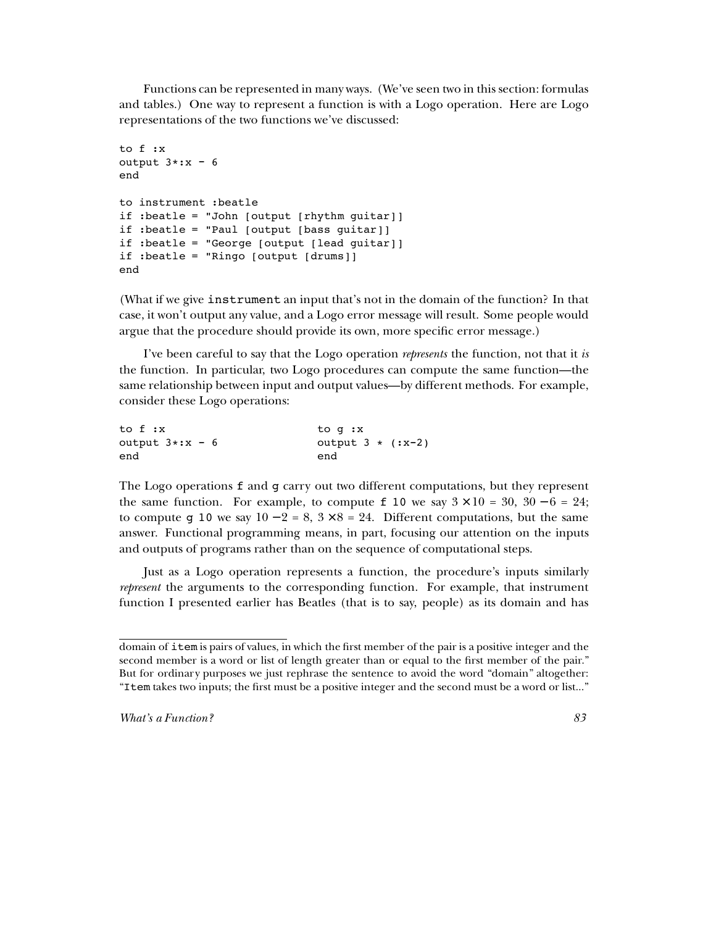Functions can be represented in many ways. (We've seen two in this section: formulas and tables.) One way to represent a function is with a Logo operation. Here are Logo representations of the two functions we've discussed:

```
to f :x
output 3*: x - 6end
to instrument :beatle
if :beatle = "John [output [rhythm guitar]]
if :beatle = "Paul [output [bass guitar]]
if :beatle = "George [output [lead guitar]]
if :beatle = "Ringo [output [drums]]
end
```
(What if we give instrument an input that's not in the domain of the function? In that case, it won't output any value, and a Logo error message will result. Some people would argue that the procedure should provide its own, more specific error message.)

I've been careful to say that the Logo operation *represents* the function, not that it *is* the function. In particular, two Logo procedures can compute the same function—the same relationship between input and output values—by different methods. For example, consider these Logo operations:

| to $f : x$        | to q :x            |
|-------------------|--------------------|
| output $3*:x - 6$ | output $3 * (X-2)$ |
| end               | end                |

the same function. For example, to compute f 10 we say  $3 \times 10 = 30$ ,  $30 - 6 = 24$ ; to compute g 10 we say  $10 - 2 = 8$ ,  $3 \times 8 = 24$ . Different computations, but the same The Logo operations  $f$  and  $g$  carry out two different computations, but they represent answer. Functional programming means, in part, focusing our attention on the inputs and outputs of programs rather than on the sequence of computational steps.

*represent* the arguments to the corresponding function. For example, that instrument Just as a Logo operation represents a function, the procedure's inputs similarly function I presented earlier has Beatles (that is to say, people) as its domain and has

*What's a Function? 83*

domain of <code>item</code> is pairs of values, in which the first member of the pair is a positive integer and the Item " takes two inputs; the first must be a positive integer and the second must be a word or list..." second member is a word or list of length greater than or equal to the first member of the pair." But for ordinary purposes we just rephrase the sentence to avoid the word "domain" altogether: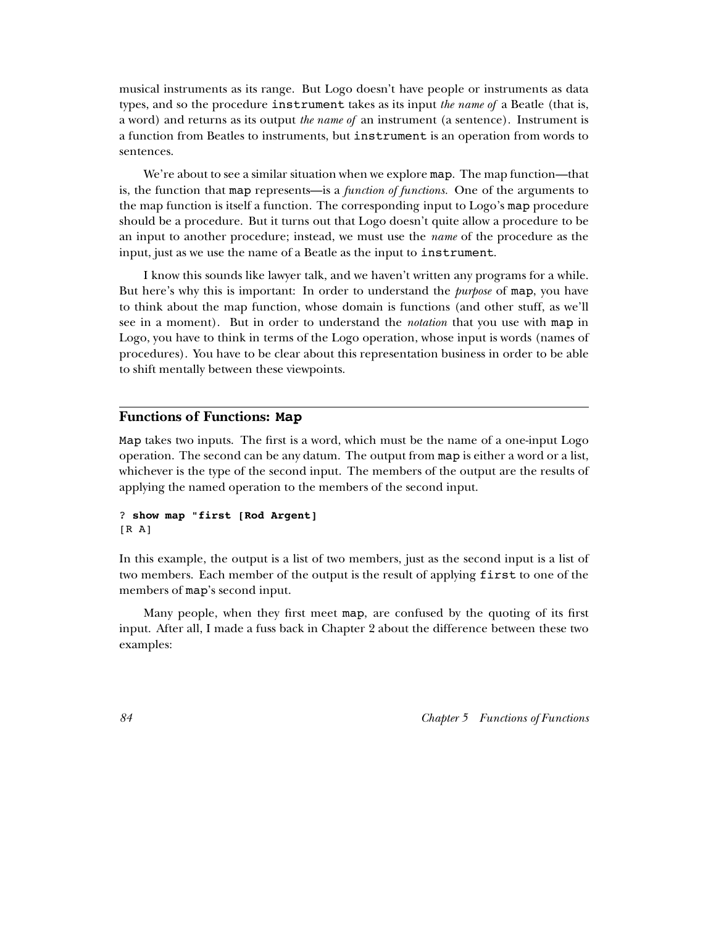types, and so the procedure instrument takes as its input *the name of* a Beatle (that is, a function from Beatles to instruments, but instrument is an operation from words to a word) and returns as its output *the name of* an instrument (a sentence). Instrument is musical instruments as its range. But Logo doesn't have people or instruments as data sentences.

We're about to see a similar situation when we explore  $\mathtt{map}.$  The map function—that is, the function that map represents—is a *function of functions*. One of the arguments to the map function is itself a function. The corresponding input to Logo's map procedure input, just as we use the name of a Beatle as the input to  ${\tt instrument}$ . an input to another procedure; instead, we must use the *name* of the procedure as the should be a procedure. But it turns out that Logo doesn't quite allow a procedure to be

But here's why this is important: In order to understand the *purpose* of map, you have see in a moment). But in order to understand the *notation* that you use with map in I know this sounds like lawyer talk, and we haven't written any programs for a while. to think about the map function, whose domain is functions (and other stuff, as we'll Logo, you have to think in terms of the Logo operation, whose input is words (names of procedures). You have to be clear about this representation business in order to be able to shift mentally between these viewpoints.

# **Functions of Functions: Map**

Map takes two inputs. The first is a word, which must be the name of a one-input Logo operation. The second can be any datum. The output from **map** is either a word or a list, whichever is the type of the second input. The members of the output are the results of applying the named operation to the members of the second input.

#### ? **show map "first [Rod Argent]**  $[R A]$

two members. Each member of the output is the result of applying first to one of the members of map's second input. In this example, the output is a list of two members, just as the second input is a list of

Many people, when they first meet map, are confused by the quoting of its first input. After all, I made a fuss back in Chapter 2 about the difference between these two examples: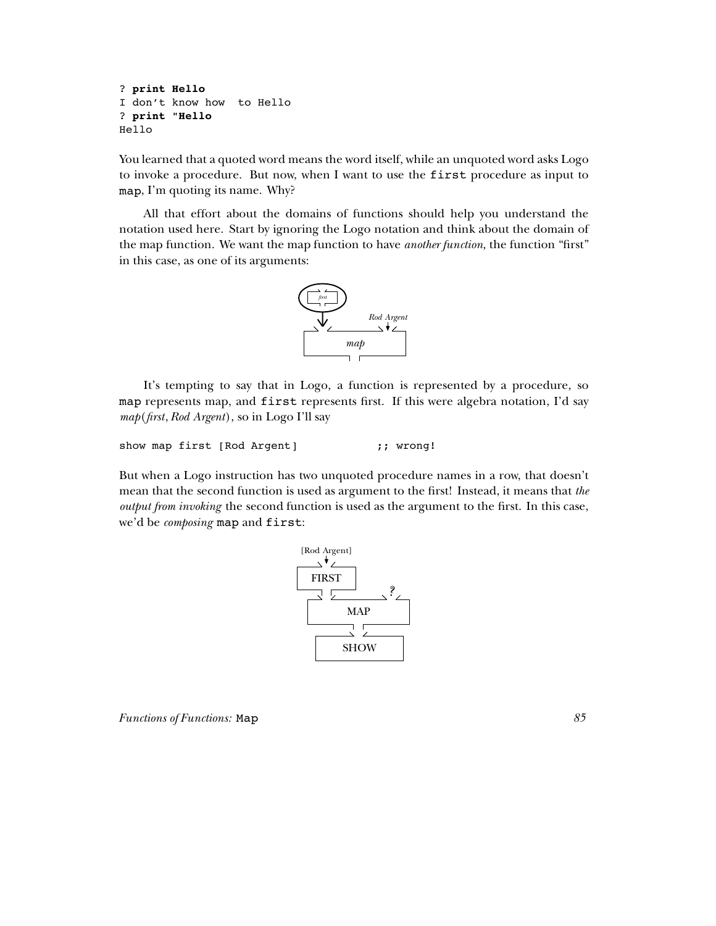```
print Hello
?
print "Hello
?
I don't know how to Hello
Hello
```
to invoke a procedure. But now, when I want to use the first procedure as input to map , I'm quoting its name. Why? You learned that a quoted word means the word itself, while an unquoted word asks Logo

the map function. We want the map function to have *another function*, the function "first" All that effort about the domains of functions should help you understand the notation used here. Start by ignoring the Logo notation and think about the domain of in this case, as one of its arguments:



map represents map, and first represents first. If this were algebra notation, I'd say map(first, Rod Argent), so in Logo I'll say It's tempting to say that in Logo, a function is represented by a procedure, so

show map first [Rod Argent] ;; wrong!

we'd be *composing* map and first: mean that the second function is used as argument to the first! Instead, it means that *the output from invoking* the second function is used as the argument to the first. In this case, But when a Logo instruction has two unquoted procedure names in a row, that doesn't



Map *Functions of Functions: 85*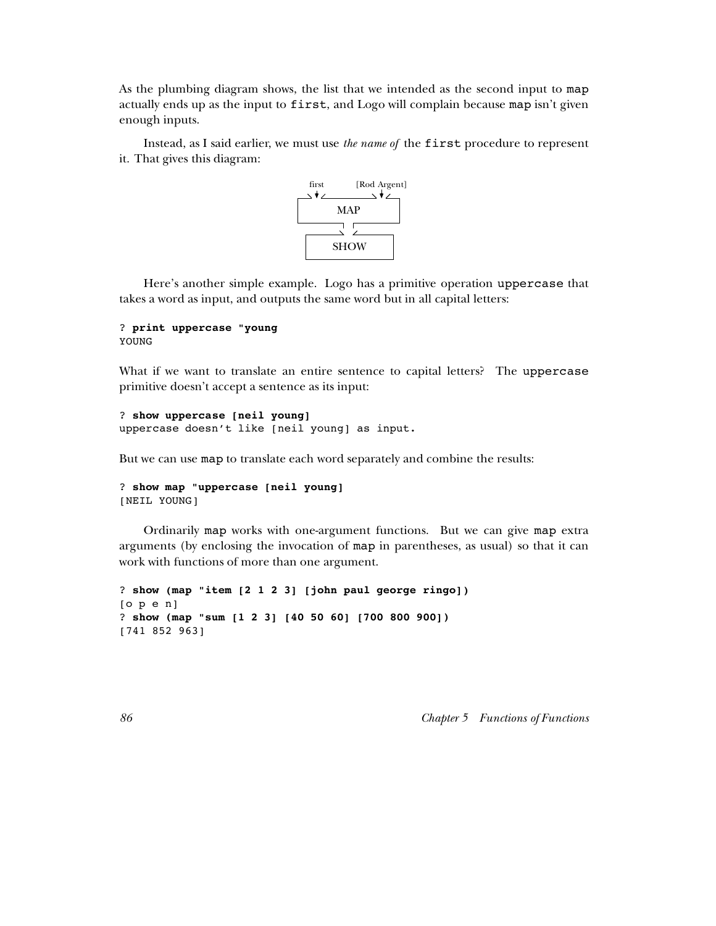As the plumbing diagram shows, the list that we intended as the second input to map actually ends up as the input to <code>first</code>, and Logo will complain because <code>map</code> isn't given enough inputs.

Instead, as I said earlier, we must use *the name of the first procedure to represent* it. That gives this diagram:



Here's another simple example. Logo has a primitive operation uppercase that takes a word as input, and outputs the same word but in all capital letters:

#### ? **print uppercase "young** YOUNG

What if we want to translate an entire sentence to capital letters? The <code>uppercase</code> primitive doesn't accept a sentence as its input:

#### ? **show uppercase [neil young]** uppercase doesn't like [neil young] as input.

But we can use map to translate each word separately and combine the results:

```
?
show map "uppercase [neil young]
[NEIL YOUNG]
```
Ordinarily map works with one-argument functions. But we can give map extra arguments (by enclosing the invocation of map in parentheses, as usual) so that it can work with functions of more than one argument.

```
?
show (map "item [2 1 2 3] [john paul george ringo])
[o p e n]
?
show (map "sum [1 2 3] [40 50 60] [700 800 900])
[741 852 963]
```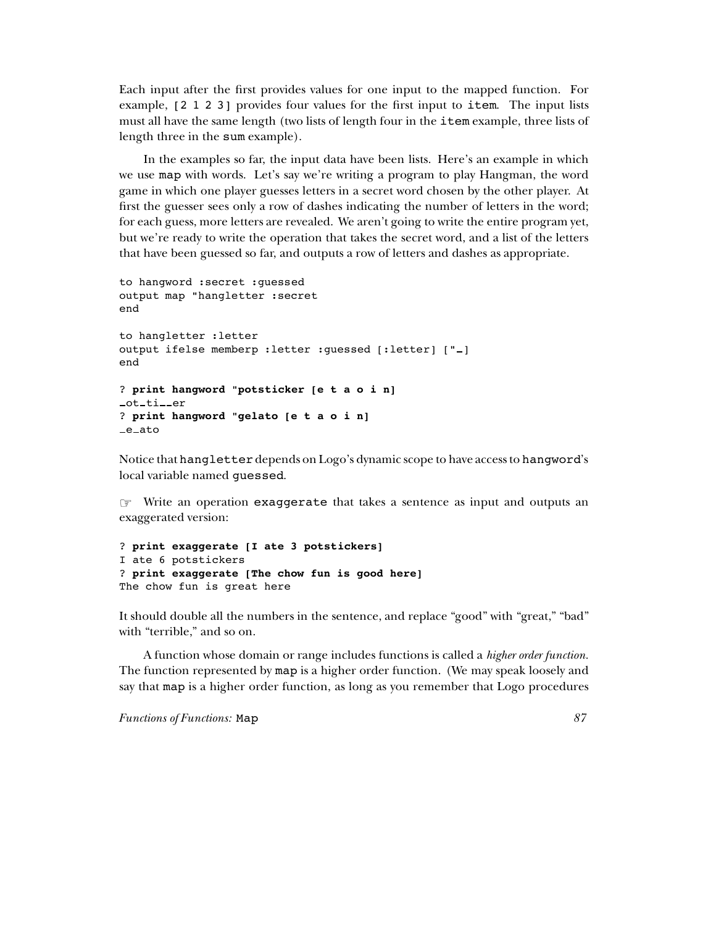example, [2 1 2 3] provides four values for the first input to item. The input lists must all have the same length (two lists of length four in the <code>item</code> example, three lists of length three in the sum example). Each input after the first provides values for one input to the mapped function. For

we use map with words. Let's say we're writing a program to play Hangman, the word In the examples so far, the input data have been lists. Here's an example in which game in which one player guesses letters in a secret word chosen by the other player. At first the guesser sees only a row of dashes indicating the number of letters in the word; for each guess, more letters are revealed. We aren't going to write the entire program yet, but we're ready to write the operation that takes the secret word, and a list of the letters that have been guessed so far, and outputs a row of letters and dashes as appropriate.

```
print hangword "potsticker [e t a o i n]
?
print hangword "gelato [e t a o i n]
?
to hangword :secret :guessed
output map "hangletter :secret
end
to hangletter :letter
output ifelse memberp : letter : quessed [: letter] ["-]
end
_ot_ti__er
e ato
```
Notice that <code>hangletter</code> depends on Logo's dynamic scope to have access to <code>hangword's</code> local variable named guessed.

☞ exaggerate Write an operation that takes a sentence as input and outputs an exaggerated version:

```
print exaggerate [I ate 3 potstickers]
?
print exaggerate [The chow fun is good here]
?
I ate 6 potstickers
The chow fun is great here
```
It should double all the numbers in the sentence, and replace "good" with "great," "bad" with "terrible," and so on.

A function whose domain or range includes functions is called a *higher order function.* The function represented by map is a higher order function. (We may speak loosely and say that **map** is a higher order function, as long as you remember that Logo procedures

*Functions of Functions: 87* Map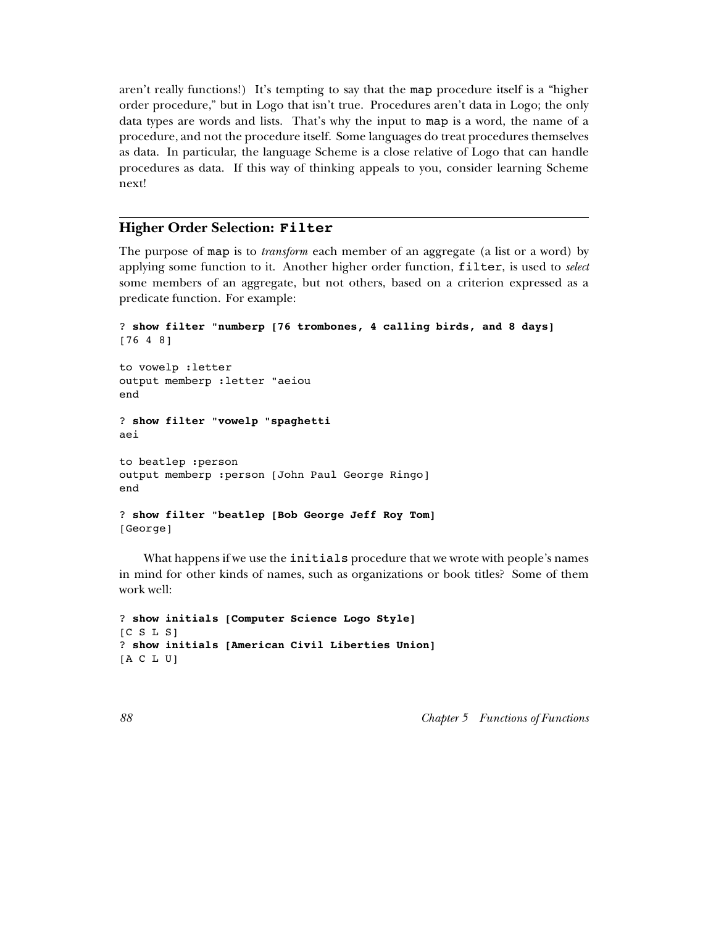aren't really functions!) It's tempting to say that the map procedure itself is a "higher data types are words and lists. That's why the input to map is a word, the name of a order procedure," but in Logo that isn't true. Procedures aren't data in Logo; the only procedure, and not the procedure itself. Some languages do treat procedures themselves as data. In particular, the language Scheme is a close relative of Logo that can handle procedures as data. If this way of thinking appeals to you, consider learning Scheme next!

### **Higher Order Selection: Filter**

The purpose of map is to *transform* each member of an aggregate (a list or a word) by applying some function to it. Another higher order function, filter, is used to select some members of an aggregate, but not others, based on a criterion expressed as a predicate function. For example:

```
?
show filter "numberp [76 trombones, 4 calling birds, and 8 days]
[76 4 8]
to vowelp :letter
output memberp :letter "aeiou
end
?
show filter "vowelp "spaghetti
aei
to beatlep :person
output memberp :person [John Paul George Ringo]
end
?
show filter "beatlep [Bob George Jeff Roy Tom]
[George]
```
What happens if we use the initials procedure that we wrote with people's names in mind for other kinds of names, such as organizations or book titles? Some of them work well:

```
?
show initials [Computer Science Logo Style]
[C S L S]
?
show initials [American Civil Liberties Union]
[A C L U]
```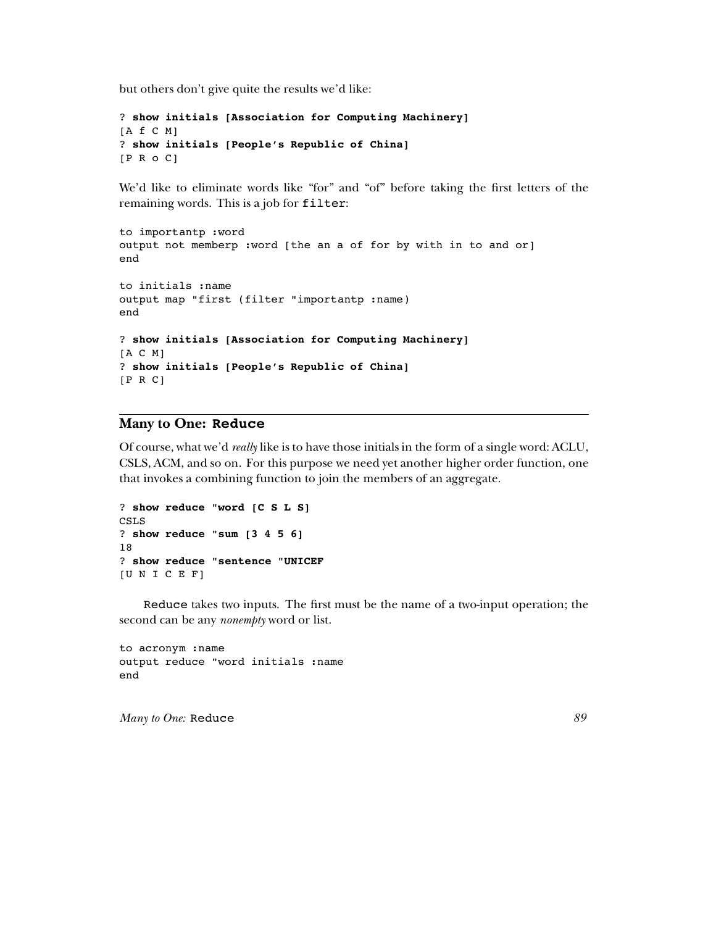but others don't give quite the results we'd like:

```
?
show initials [Association for Computing Machinery]
[A f C M]
?
show initials [People's Republic of China]
[P R o C]
```
remaining words. This is a job for filter: We'd like to eliminate words like "for" and "of" before taking the first letters of the

```
to importantp :word
output not memberp :word [the an a of for by with in to and or]
end
to initials :name
output map "first (filter "importantp :name)
end
?
show initials [Association for Computing Machinery]
[A C M]
?
show initials [People's Republic of China]
[P R C]
```
# **Many to One: Reduce**

Of course, what we'd *really* like is to have those initials in the form of a single word: ACLU, CSLS, ACM, and so on. For this purpose we need yet another higher order function, one that invokes a combining function to join the members of an aggregate.

```
?
show reduce "word [C S L S]
CSLS
?
show reduce "sum [3 4 5 6]
18
?
show reduce "sentence "UNICEF
[U N I C E F]
```
Reduce takes two inputs. The first must be the name of a two-input operation; the second can be any *nonempty* word or list.

to acronym :name output reduce "word initials :name end

*Reduce* 89 and *89*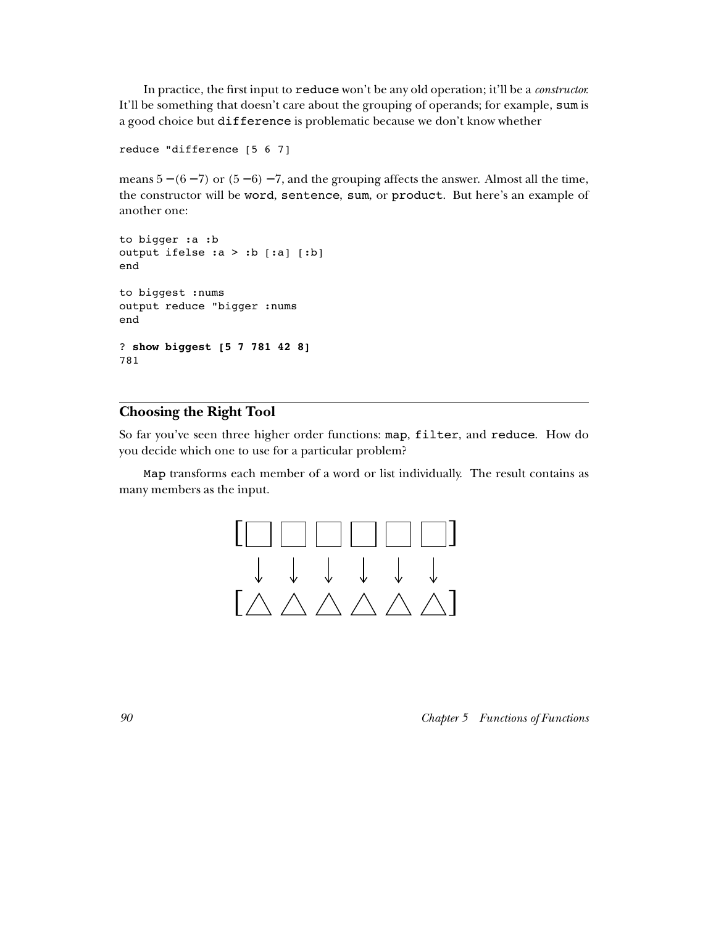In practice, the first input to **reduce** won't be any old operation; it'll be a *constructor*. It'll be something that doesn't care about the grouping of operands; for example, sum is a good choice but  $\mathtt{difference}$  is problematic because we don't know whether

```
reduce "difference [5 6 7]
```
means  $5 - (6 - 7)$  or  $(5 - 6) - 7$ , and the grouping affects the answer. Almost all the time, the constructor will be word, sentence, sum, or product. But here's an example of another one:

```
show biggest [5 7 781 42 8]
?
to bigger :a :b
output ifelse :a > :b [:a] [:b]
end
to biggest :nums
output reduce "bigger :nums
end
781
```
# **Choosing the Right Tool**

So far you've seen three higher order functions: map, filter, and reduce. How do you decide which one to use for a particular problem?

Map transforms each member of a word or list individually. The result contains as many members as the input.

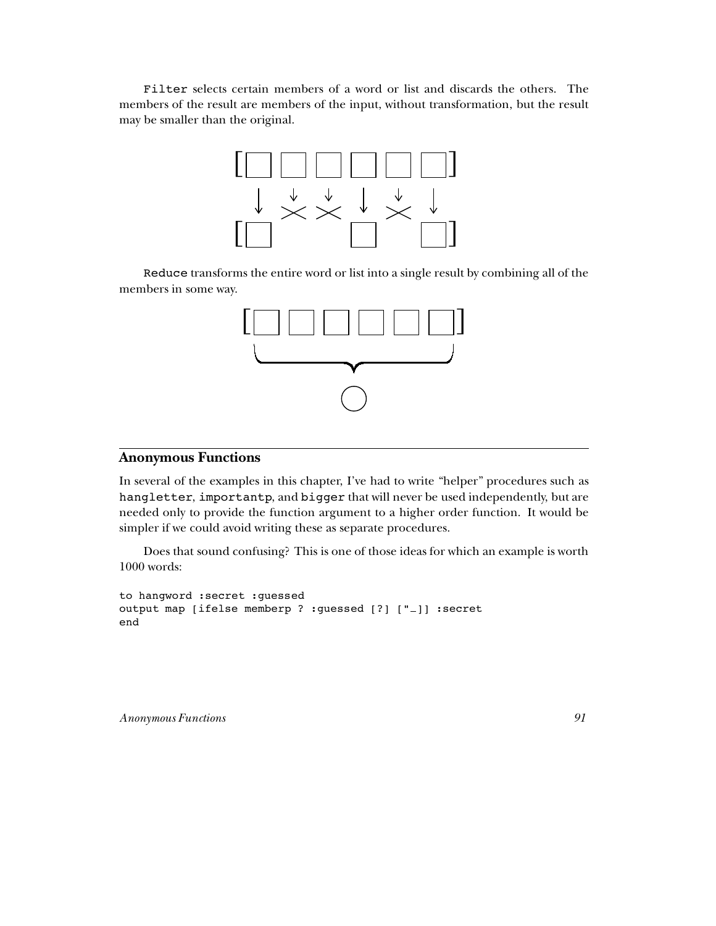Filter selects certain members of a word or list and discards the others. The members of the result are members of the input, without transformation, but the result may be smaller than the original.



Reduce transforms the entire word or list into a single result by combining all of the members in some way.



### **Anonymous Functions**

hangletter, importantp, and bigger that will never be used independently, but are In several of the examples in this chapter, I've had to write "helper" procedures such as needed only to provide the function argument to a higher order function. It would be simpler if we could avoid writing these as separate procedures.

Does that sound confusing? This is one of those ideas for which an example is worth 1000 words:

```
to hangword :secret :guessed
output map [ifelse memberp ? : guessed [?] ["-]] : secret
end
```
*Anonymous Functions 91*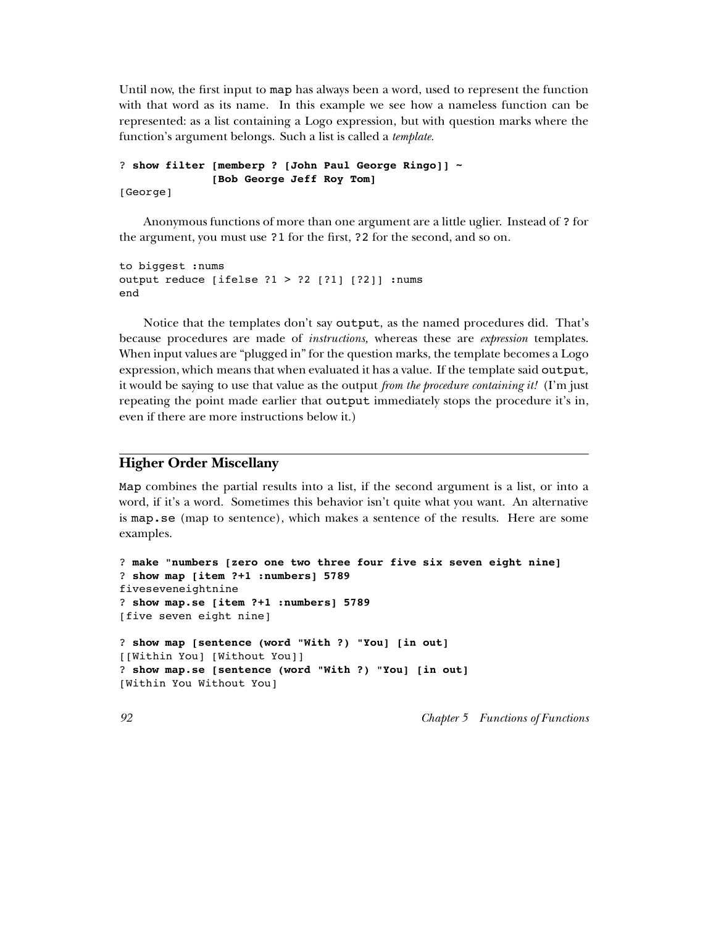Until now, the first input to map has always been a word, used to represent the function function's argument belongs. Such a list is called a *template*. with that word as its name. In this example we see how a nameless function can be represented: as a list containing a Logo expression, but with question marks where the

```
?
show filter [memberp ? [John Paul George Ringo]] ~
              [Bob George Jeff Roy Tom]
```
[George]

Anonymous functions of more than one argument are a little uglier. Instead of **?** for the argument, you must use ?1 for the first, ?2 for the second, and so on.

```
to biggest :nums
output reduce [ifelse ?1 > ?2 [?1] [?2]] :nums
end
```
Notice that the templates don't say output, as the named procedures did. That's expression, which means that when evaluated it has a value. If the template said  $\textsf{output},$ repeating the point made earlier that output immediately stops the procedure it's in, because procedures are made of *instructions*, whereas these are *expression* templates. it would be saying to use that value as the output *from the procedure containing it!* (I'm just When input values are "plugged in" for the question marks, the template becomes a Logo even if there are more instructions below it.)

# **Higher Order Miscellany**

Map combines the partial results into a list, if the second argument is a list, or into a map.se is (map to sentence), which makes a sentence of the results. Here are some word, if it's a word. Sometimes this behavior isn't quite what you want. An alternative examples.

```
?
make "numbers [zero one two three four five six seven eight nine]
?
show map [item ?+1 :numbers] 5789
fiveseveneightnine
?
show map.se [item ?+1 :numbers] 5789
[five seven eight nine]
?
show map [sentence (word "With ?) "You] [in out]
[[Within You] [Without You]]
?
show map.se [sentence (word "With ?) "You] [in out]
[Within You Without You]
```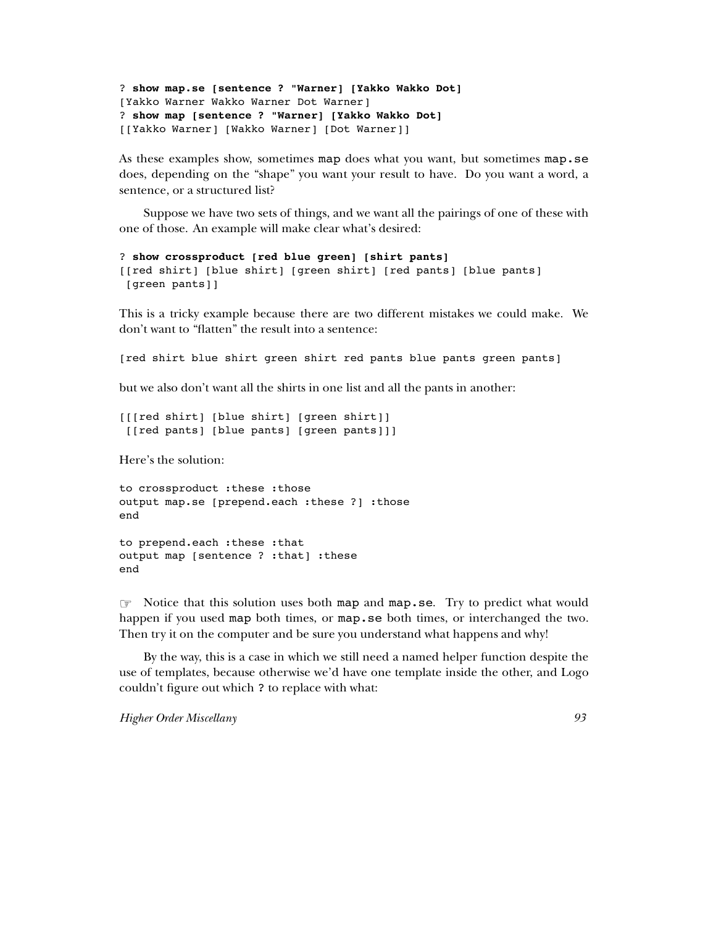```
show map.se [sentence ? "Warner] [Yakko Wakko Dot]
?
show map [sentence ? "Warner] [Yakko Wakko Dot]
?
[Yakko Warner Wakko Warner Dot Warner]
[[Yakko Warner] [Wakko Warner] [Dot Warner]]
```
As these examples show, sometimes map does what you want, but sometimes  $map \, \texttt{se}$ does, depending on the "shape" you want your result to have. Do you want a word, a sentence, or a structured list?

Suppose we have two sets of things, and we want all the pairings of one of these with one of those. An example will make clear what's desired:

```
show crossproduct [red blue green] [shirt pants]
?
[[red shirt] [blue shirt] [green shirt] [red pants] [blue pants]
[green pants]]
```
This is a tricky example because there are two different mistakes we could make. We don't want to "flatten" the result into a sentence:

[red shirt blue shirt green shirt red pants blue pants green pants]

but we also don't want all the shirts in one list and all the pants in another:

```
[[[red shirt] [blue shirt] [green shirt]]
[[red pants] [blue pants] [green pants]]]
```
Here's the solution:

```
to crossproduct :these :those
output map.se [prepend.each :these ?] :those
end
```
to prepend.each :these :that output map [sentence ? :that] :these end

☞ map map.se Notice that this solution uses both and . Try to predict what would happen if you used map both times, or map. se both times, or interchanged the two. Then try it on the computer and be sure you understand what happens and why!

couldn't figure out which ? to replace with what: By the way, this is a case in which we still need a named helper function despite the use of templates, because otherwise we'd have one template inside the other, and Logo

*Higher Order Miscellany 93*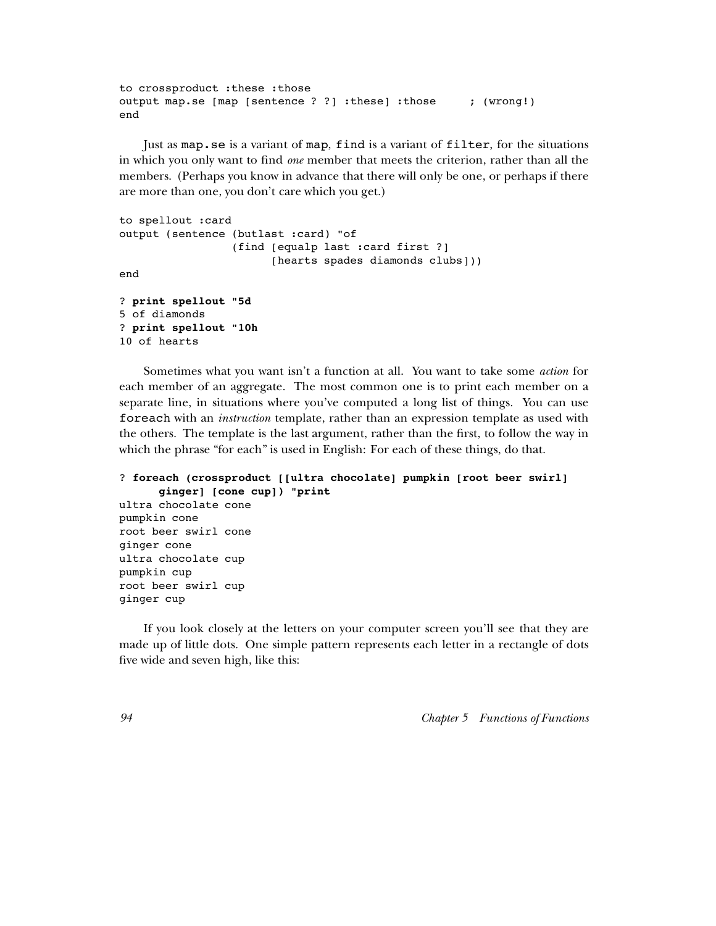```
to crossproduct :these :those
output map.se [map [sentence ? ?] :these] :those ; (wrong!)
end
```
Just as  $\mathtt{map}.\mathtt{se}$  is a variant of  $\mathtt{map}, \mathtt{find}$  is a variant of  $\mathtt{filter},$  for the situations in which you only want to find *one* member that meets the criterion, rather than all the members. (Perhaps you know in advance that there will only be one, or perhaps if there are more than one, you don't care which you get.)

```
print spellout "5d
?
print spellout "10h
?
to spellout :card
output (sentence (butlast :card) "of
                 (find [equalp last :card first ?]
                       [hearts spades diamonds clubs]))
end
5 of diamonds
```
foreach with an *instruction* template, rather than an expression template as used with Sometimes what you want isn't a function at all. You want to take some *action* for 10 of hearts each member of an aggregate. The most common one is to print each member on a separate line, in situations where you've computed a long list of things. You can use the others. The template is the last argument, rather than the first, to follow the way in

which the phrase "for each" is used in English: For each of these things, do that.

```
foreach (crossproduct [[ultra chocolate] pumpkin [root beer swirl]
?
      ginger] [cone cup]) "print
ultra chocolate cone
pumpkin cone
root beer swirl cone
ginger cone
ultra chocolate cup
pumpkin cup
root beer swirl cup
ginger cup
```
If you look closely at the letters on your computer screen you'll see that they are made up of little dots. One simple pattern represents each letter in a rectangle of dots five wide and seven high, like this: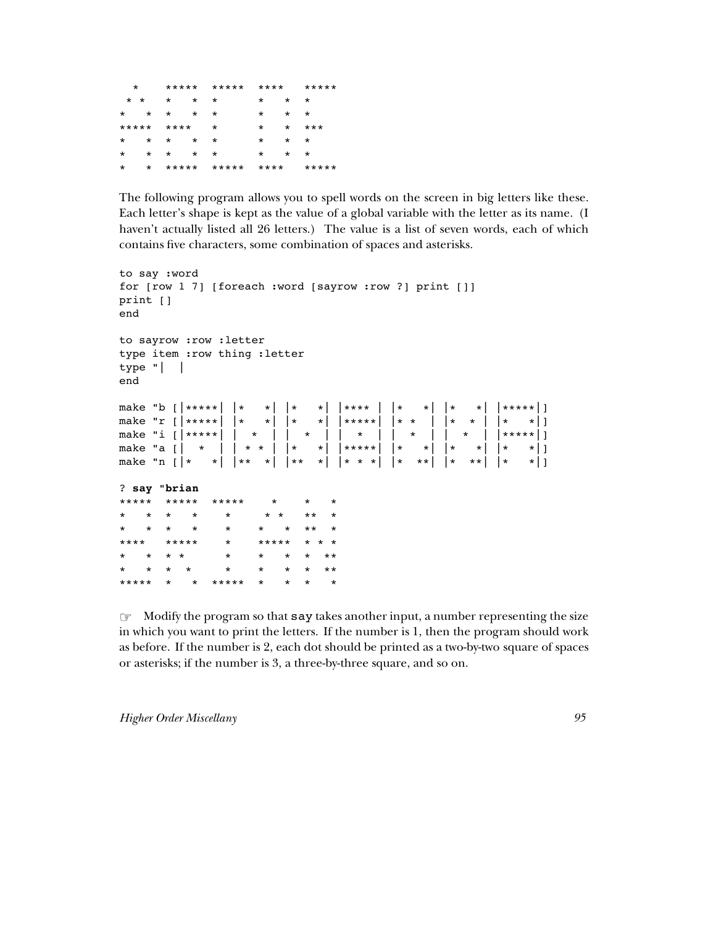| $\star$  |          | *****    |          | *****    | ****     |          | *****   |
|----------|----------|----------|----------|----------|----------|----------|---------|
| $^\star$ | $^\star$ | $^\star$ | $^\star$ | $^\star$ | $^\star$ | $^\star$ | *       |
| $\star$  | $^\star$ | $^\star$ | $\star$  | $^\star$ | $\star$  | $^\star$ | $\star$ |
| *****    |          | ****     |          | *        | $\star$  | $^\star$ | $***$   |
| $\star$  | $^\star$ | $^\star$ | $\star$  | *        | $^\star$ | $^\star$ | *       |
| $\star$  | $^\star$ | $^\star$ | $\star$  | $\star$  | $\star$  | $^\star$ | $\star$ |
| $\star$  | $^\star$ | *****    |          | *****    | ****     |          | *****   |

The following program allows you to spell words on the screen in big letters like these. Each letter's shape is kept as the value of a global variable with the letter as its name. (I haven't actually listed all 26 letters.) The value is a list of seven words, each of which contains five characters, some combination of spaces and asterisks.

```
say "brian
?
to say :word
for [row 1 7] [foreach :word [sayrow :row ?] print []]
print []
end
to sayrow :row :letter
type item :row thing :letter
type "| |
end
make "b [|*****| |* *| |* *| |**** | |* *| |* *| |*****|]<br>make "r [|*****| |* *| |* *| |****| |* * | |* * | |* *|]
make "r [|*****| |*   *| |*   *| |*****| |*   * | |*   *| |*   *|]<br>make "i [|*****| |   *   | |   *  | |   *  | |   *  | |   *  | | *****|]
make "i [|*****| | * || * || * || * || *
make "a [| * ||* *||* *||****||* *||* *||* *|]<br>make "n [|* *||** *||** *||* **||* **||* **||* *||
                                                 ** * ** ****** ***** ***** * * *
* * * * * * * ** *
* * * * * * * ** *
**** ***** * ***** * * *
* * * * * * * * **
* * * * * * * * **
***** * * ***** * * * *
```
ෛ Modify the program so that  $\verb|say|$  takes another input, a number representing the size in which you want to print the letters. If the number is 1, then the program should work as before. If the number is 2, each dot should be printed as a two-by-two square of spaces or asterisks; if the number is 3, a three-by-three square, and so on.

*Higher Order Miscellany 95*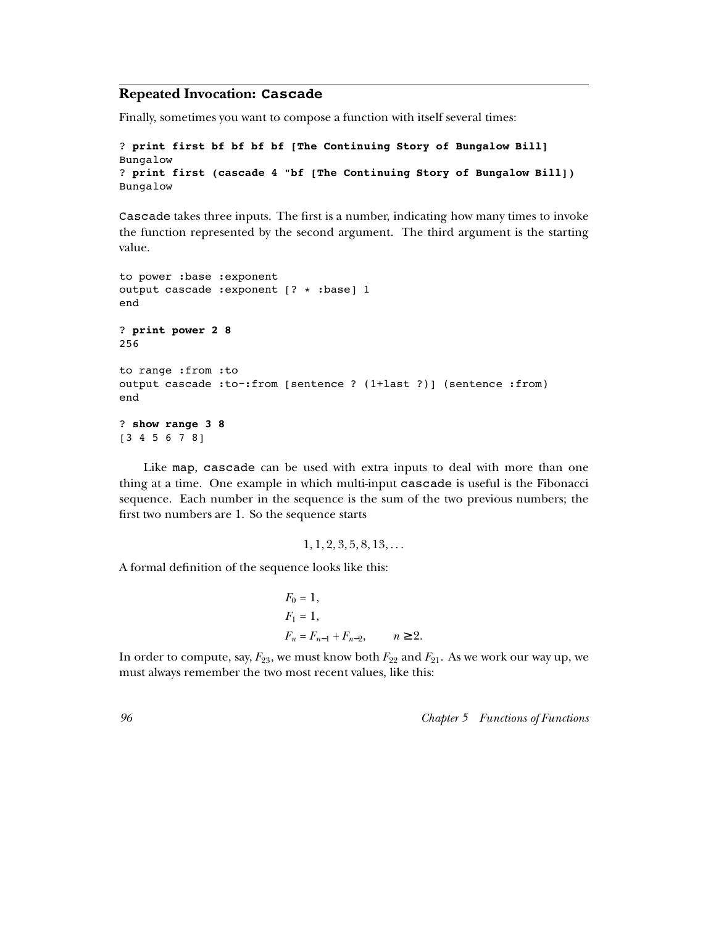# **Repeated Invocation: Cascade**

Finally, sometimes you want to compose a function with itself several times:

```
print first bf bf bf bf [The Continuing Story of Bungalow Bill]
?
print first (cascade 4 "bf [The Continuing Story of Bungalow Bill])
?
Bungalow
Bungalow
```
Cascade takes three inputs. The first is a number, indicating how many times to invoke the function represented by the second argument. The third argument is the starting value.

```
print power 2 8
?
show range 3 8
?
to power :base :exponent
output cascade :exponent [? * :base] 1
end
256
to range :from :to
output cascade :to-:from [sentence ? (1+last ?)] (sentence :from)
end
[3 4 5 6 7 8]
```
Like map, cascade can be used with extra inputs to deal with more than one thing at a time. One example in which multi-input cascade is useful is the Fibonacci sequence. Each number in the sequence is the sum of the two previous numbers; the first two numbers are 1. So the sequence starts

```
1, 1, 2, 3, 5, 8, 13, \ldots
```
A formal definition of the sequence looks like this:

```
F_n = F_{n-1} + F_{n-2}, \qquad n \geq 2.F_0 = 1,F_1 = 1,
```
In order to compute, say,  $F_{23}$ , we must know both  $F_{22}$  and  $F_{21}.$  As we work our way up, we must always remember the two most recent values, like this: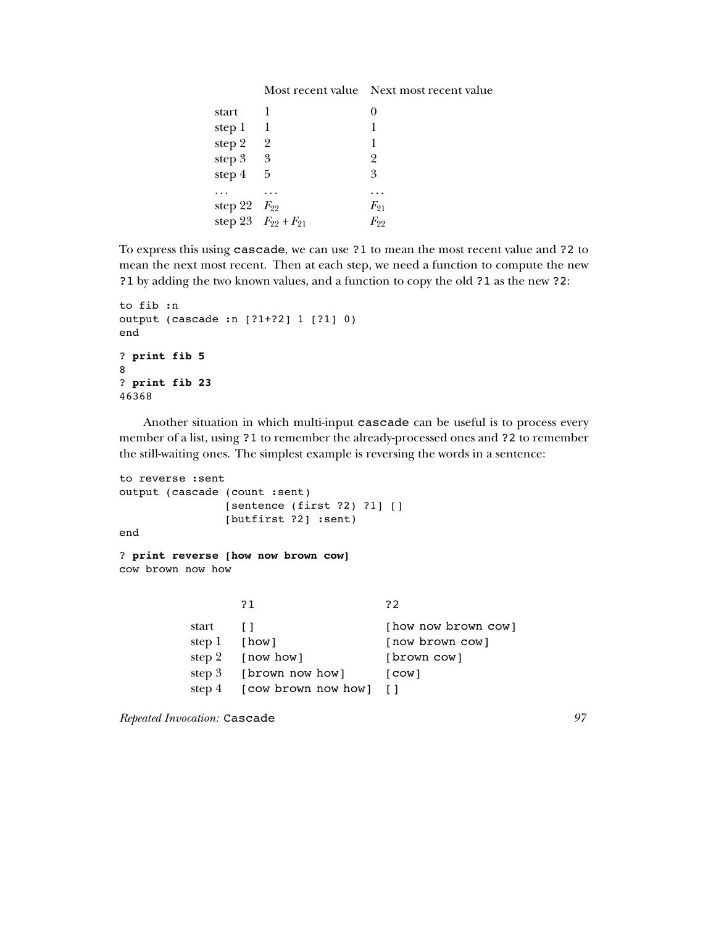| start            |                           |          |
|------------------|---------------------------|----------|
| step 1           | 1                         | 1        |
| step 2           | 2                         | 1        |
| step 3           | 3                         | 2        |
| step 4           | 5                         | 3        |
|                  |                           |          |
| step 22 $F_{22}$ |                           | $F_{21}$ |
|                  | step 23 $F_{22} + F_{21}$ | $F_{22}$ |

To express this using  $\mathtt{cascade}$ , we can use  $?1$  to mean the most recent value and  $?2$  to ?1 by adding the two known values, and a function to copy the old ?1 as the new ?2: mean the next most recent. Then at each step, we need a function to compute the new

Most recent value Next most recent value

```
print fib 5
?
print fib 23
?
to fib :n
output (cascade :n [?1+?2] 1 [?1] 0)
end
8
46368
```
Another situation in which multi-input cascade can be useful is to process every member of a list, using **?1** to remember the already-processed ones and **?2** to remember the still-waiting ones. The simplest example is reversing the words in a sentence:

```
to reverse :sent
output (cascade (count :sent)
                [sentence (first ?2) ?1] []
                [butfirst ?2] :sent)
end
```

```
print reverse [how now brown cow]
?
cow brown now how
```

|        | ? 1                      | 22                  |
|--------|--------------------------|---------------------|
| start  | $\perp$                  | [how now brown cow] |
|        | step 1 [how]             | [now brown cow]     |
|        | step $2 \quad$ [now how] | [brown cow]         |
|        | step $3$ [brown now how] | [COW]               |
| step 4 | [cow brown now how] []   |                     |

 $$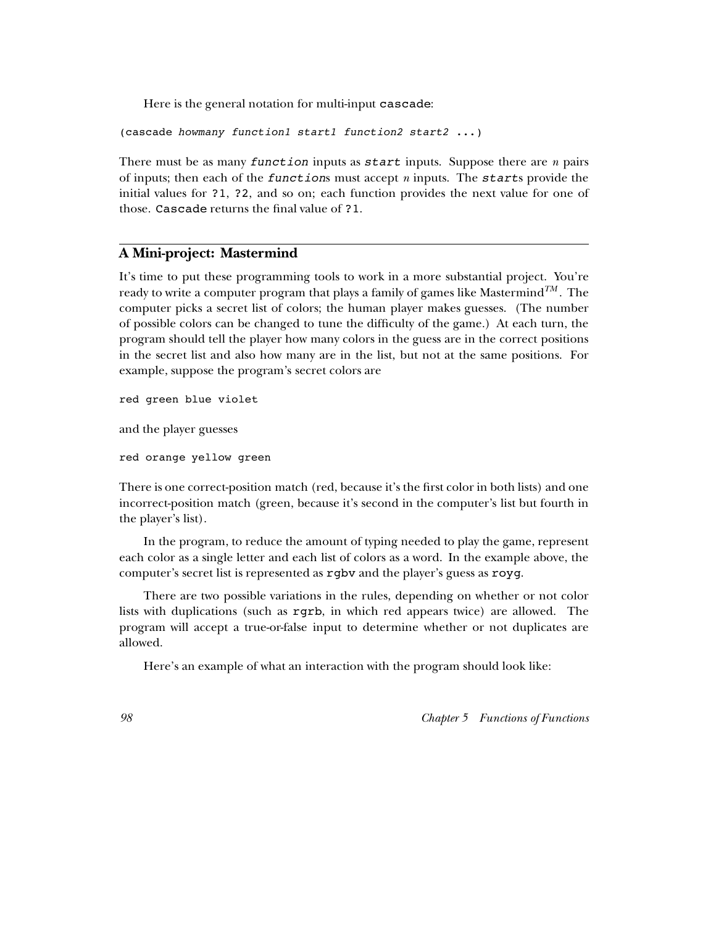Here is the general notation for multi-input cascade:

(cascade *howmany function1 start1 function2 start2 ...*)

There must be as many *function* inputs as *start* inputs. Suppose there are *n* pairs of inputs; then each of the *function*s must accept *n* inputs. The *starts* provide the initial values for ?1, ?2, and so on; each function provides the next value for one of those. Cascade returns the final value of ?1.

# **A Mini-project: Mastermind**

ready to write a computer program that plays a family of games like Mastermind $^{TM}.$  The It's time to put these programming tools to work in a more substantial project. You're computer picks a secret list of colors; the human player makes guesses. (The number of possible colors can be changed to tune the difficulty of the game.) At each turn, the program should tell the player how many colors in the guess are in the correct positions in the secret list and also how many are in the list, but not at the same positions. For example, suppose the program's secret colors are

red green blue violet

and the player guesses

red orange yellow green

There is one correct-position match (red, because it's the first color in both lists) and one incorrect-position match (green, because it's second in the computer's list but fourth in the player's list).

computer's secret list is represented as rgbv and the player's guess as royg. In the program, to reduce the amount of typing needed to play the game, represent each color as a single letter and each list of colors as a word. In the example above, the

lists with duplications (such as rgrb, in which red appears twice) are allowed. The There are two possible variations in the rules, depending on whether or not color program will accept a true-or-false input to determine whether or not duplicates are allowed.

Here's an example of what an interaction with the program should look like: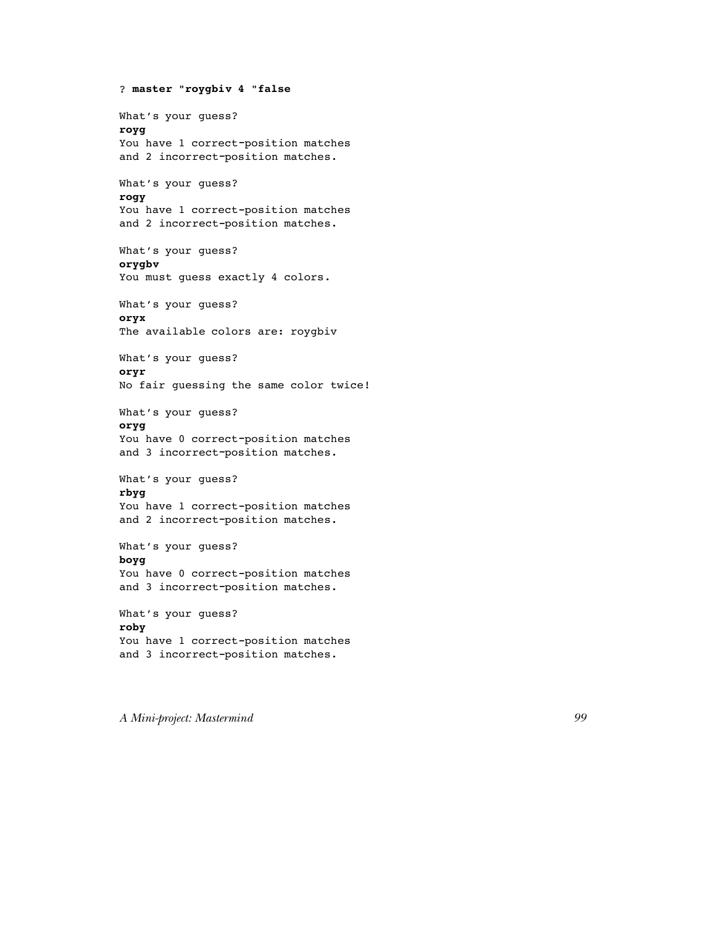```
master "roygbiv 4 "false
?
royg
rogy
orygbv
oryx
oryr
oryg
rbyg
boyg
roby
What's your guess?
You have 1 correct-position matches
and 2 incorrect-position matches.
What's your guess?
You have 1 correct-position matches
and 2 incorrect-position matches.
What's your guess?
You must guess exactly 4 colors.
What's your guess?
The available colors are: roygbiv
What's your guess?
No fair guessing the same color twice!
What's your guess?
You have 0 correct-position matches
and 3 incorrect-position matches.
What's your guess?
You have 1 correct-position matches
and 2 incorrect-position matches.
What's your guess?
You have 0 correct-position matches
and 3 incorrect-position matches.
What's your guess?
You have 1 correct-position matches
and 3 incorrect-position matches.
```
*A Mini-project: Mastermind 99*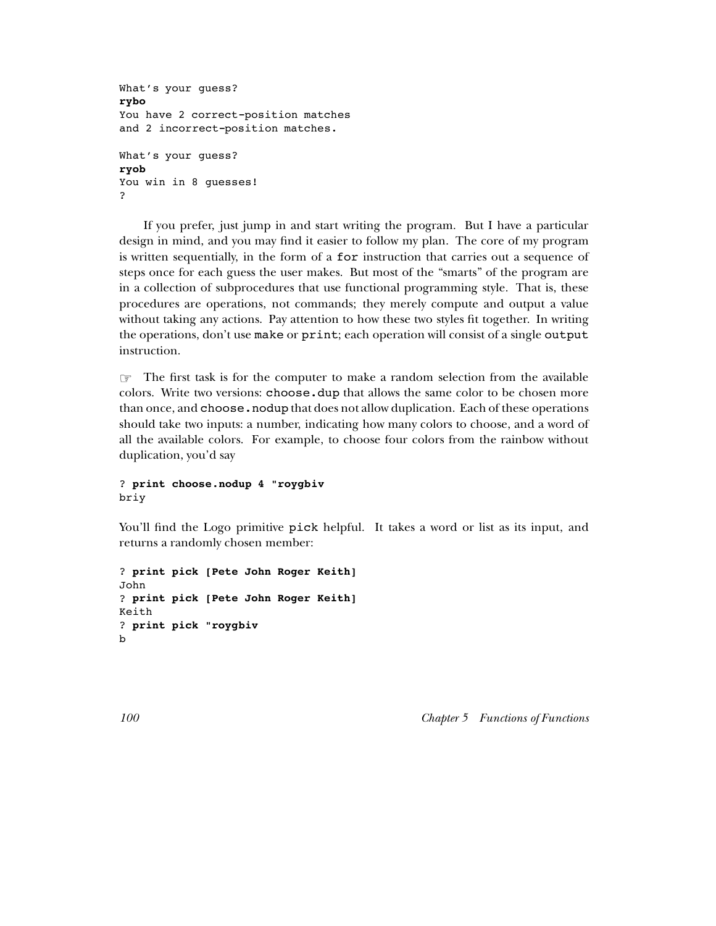```
rybo
ryob
What's your guess?
You have 2 correct-position matches
and 2 incorrect-position matches.
What's your guess?
You win in 8 guesses!
?
```
is written sequentially, in the form of a for instruction that carries out a sequence of the operations, don't use make or print; each operation will consist of a single output If you prefer, just jump in and start writing the program. But I have a particular design in mind, and you may find it easier to follow my plan. The core of my program steps once for each guess the user makes. But most of the "smarts" of the program are in a collection of subprocedures that use functional programming style. That is, these procedures are operations, not commands; they merely compute and output a value without taking any actions. Pay attention to how these two styles fit together. In writing instruction.

☞ The first task is for the computer to make a random selection from the available colors. Write two versions: choose.dup that allows the same color to be chosen more than once, and choose. nodup that does not allow duplication. Each of these operations should take two inputs: a number, indicating how many colors to choose, and a word of all the available colors. For example, to choose four colors from the rainbow without duplication, you'd say

```
print choose.nodup 4 "roygbiv
?
briy
```
You'll find the Logo primitive pick helpful. It takes a word or list as its input, and returns a randomly chosen member:

```
print pick [Pete John Roger Keith]
?
print pick [Pete John Roger Keith]
?
print pick "roygbiv
?
John
Keith
b
```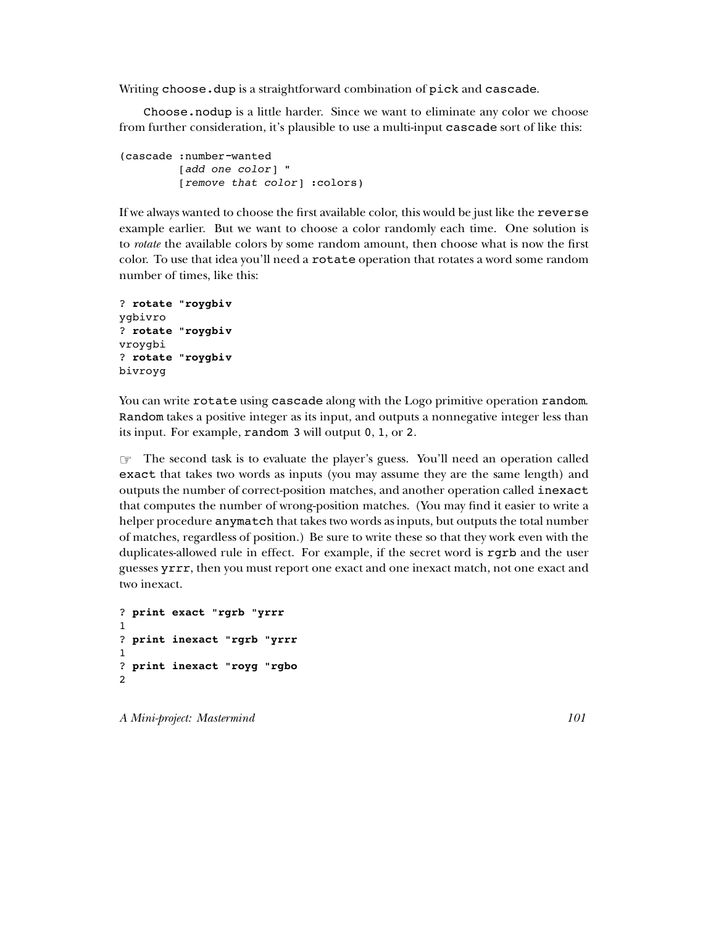Writing  $choose$  . dup is a straightforward combination of  $\texttt{pick}$  and  $\texttt{cascade}.$ 

Choose.nodup is a little harder. Since we want to eliminate any color we choose from further consideration, it's plausible to use a multi-input **cascade** sort of like this:

```
[add one color] "
         [remove that color] :colors)
(cascade :number-wanted
```
to *rotate* the available colors by some random amount, then choose what is now the first If we always wanted to choose the first available color, this would be just like the  ${\tt reverse}$ color. To use that idea you'll need a rotate operation that rotates a word some random example earlier. But we want to choose a color randomly each time. One solution is number of times, like this:

```
?
rotate "roygbiv
ygbivro
?
rotate "roygbiv
vroygbi
?
rotate "roygbiv
bivroyg
```
You can write rotate using cascade along with the Logo primitive operation random. Random takes a positive integer as its input, and outputs a nonnegative integer less than its input. For example, random 3 will output 0, 1, or 2.

☞ The second task is to evaluate the player's guess. You'll need an operation called exact that takes two words as inputs (you may assume they are the same length) and outputs the number of correct-position matches, and another operation called  ${\tt inexact}$ helper procedure  $\tt{anymatch}$  that takes two words as inputs, but outputs the total number duplicates-allowed rule in effect. For example, if the secret word is **rgrb** and the user guesses  $\mathtt{yrrr}$ , then you must report one exact and one inexact match, not one exact and that computes the number of wrong-position matches. (You may find it easier to write a of matches, regardless of position.) Be sure to write these so that they work even with the two inexact.

```
?
print exact "rgrb "yrrr
1
?
print inexact "rgrb "yrrr
1
?
print inexact "royg "rgbo
\mathfrak{D}
```
*A Mini-project: Mastermind 101*